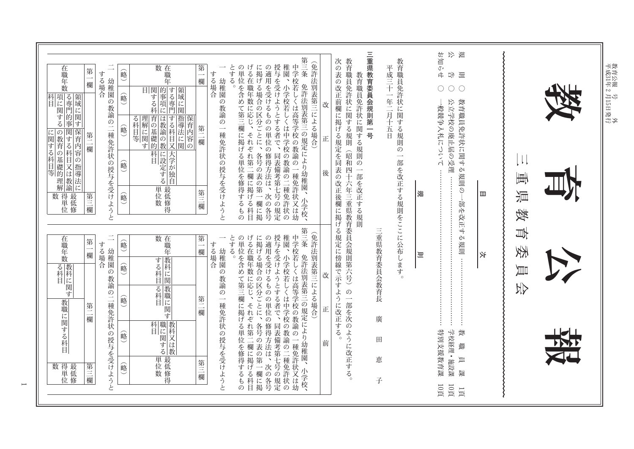| 在職年数<br>第<br>欄                                                              | する場合                  | 数在職年<br>峪                                                                                               | 第一<br>する場合<br>欄                      | とする。<br>の単位を含<br><b>.</b>                                                                                                             | 第三条<br>稚園、                                                                                                                                       |             | 三重県教育委員会規則第一号                                                                                                             |                               | お知らせ<br>戊<br>嵬<br>$\Box \not \vdash$<br>闫<br>$\bigcirc$<br>$\bigcirc$ |                               |  |
|-----------------------------------------------------------------------------|-----------------------|---------------------------------------------------------------------------------------------------------|--------------------------------------|---------------------------------------------------------------------------------------------------------------------------------------|--------------------------------------------------------------------------------------------------------------------------------------------------|-------------|---------------------------------------------------------------------------------------------------------------------------|-------------------------------|-----------------------------------------------------------------------|-------------------------------|--|
| 科目<br>「再に関する事」<br>「再」<br>「「「」<br>保育内容の指導法に<br> に関する科目等  第1回教育の基礎的理解。<br>第二欄 | 幼稚園の教諭の二種免許状の授与を受けようと | 目関的する域に関する項目の<br>(略)<br> 育の基礎的 <br>する科目又<br>  指導法に関 <br>る科目等<br>保育内容<br>命<br>科目<br>に設定する<br>大学が独自<br>俞略 | 第二欄                                  | げる在職年数に応じ、<br>に掲げる場合の区分ごとに、<br>の適用を受けるものの単位の修得方法は、<br>幼稚園の教諭の一種免許状の授与を受けようと<br>めて第三欄<br>それぞれ第二欄に掲げる科目<br>一に掲げ<br>各号の表の第<br>る単位を修得するもの | (免許法別表第三による場合)<br>授与を受けようとする者で、<br> 与を受けようとする者で、同表備考第七号の規定  園、小学校若しくは中学校の教諭の二種免許状の学校若しくは高等学校の教諭の一種免許状又は幼<br>免許法別表第三の規定により幼稚園、                    | 改<br>正<br>後 | 教育職員免許状に関する規則(昭和四十六年三重県教育委員会規則第六号)の一部を次のように改正する。<br>次の表の改正前欄に掲げる規定を同表の改正後欄に掲げる規定に傍線で示すように改正する。<br>教育職員免許状に関する規則の一部を改正する規則 | 教育職員免許状に関する規則の<br>平成三十一年二月十五日 | 教育職員免許状に関する規則の<br>公立学校の廃止届の受理 ……<br>般競争入札について<br>叝<br>皿               | $\downarrow$<br>画<br>眞        |  |
| 数 得最低<br>位<br>位<br>位<br>第三欄<br>在職年数<br>第<br>欄<br>「る科目」                      | する場合                  | 单位数学<br>略<br>数在職年<br>翁<br> する科目 <br>喻                                                                   | 第三欄<br>第<br>する場合<br>欄<br>幼稚園<br>の教諭の | 次の各号<br>一欄に掲<br>げる在職年数に応じ、<br>とする。<br>の単位を含<br>$\overline{\phantom{a}}$                                                               | 小学校、<br>第三条<br>(免許法別表第三による場合)                                                                                                                    | 改           | 三重県教育委員会教育長                                                                                                               | 一部を改正する規則をここに公布します<br>$\circ$ | -部を改正す<br>る規則<br>义<br>则                                               | 獉<br>팺<br>委<br>員<br><b>AK</b> |  |
| 教職に関する科目<br>第二<br>一欄<br>数 得最<br>位修<br>位修<br>第三欄                             | 幼稚園の教諭の二種免許状の授与を受けようと | る科目 <br> - 「「教職に関す」<br>嗡<br> 科目 はいのは、「おもの」<br> 職に関する<br>俞略<br>单位数学<br>峪                                 | 第二欄<br>第三欄                           | めて第三欄に掲げる単位を修得するもの<br>$\overline{\phantom{0}}$<br>種免許状の授与を受けようと<br>それぞれ第二欄に掲げる科目                                                      | に掲げる場合の区分ごとに、各号の表の第一欄に掲の適用を受けるものの単位の修得方法は、次の各号授与を受けようとする者で、同表備考第七号の規定稚園、小学校若しくは中学校の教諭の一種免許状の中学校若しくは高等学校の教諭の一種免許状又は幼<br>免許法別表第三の規定により幼稚園、<br>小学校、 | īĖ.<br>前    | 廣<br>田<br>恵<br>子                                                                                                          |                               | 特別支援教育課<br>学校経理·施設課<br>簗<br>職<br>員<br>雏                               |                               |  |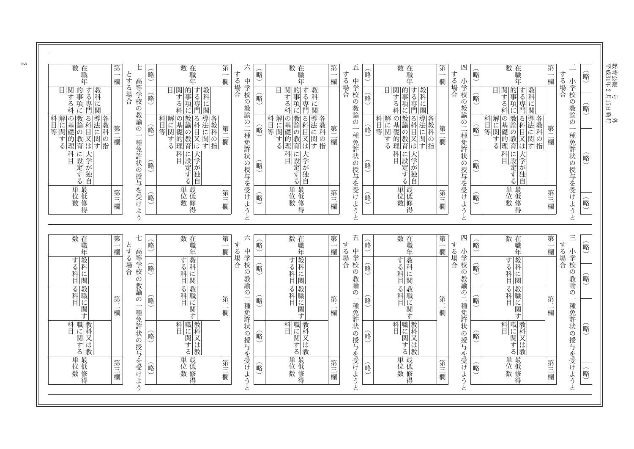| 数在職年                                                                                                               | 第一<br>欄                            | 七                                        | 硲   | 数在職年                                                 | 第<br>欄                             | 六<br>す                | 略      | 数<br>在職年                                        | 第一<br>欄 | 五<br>する場合                                 | 硲<br>$\smile$ | 数在職年                                                     | 第<br>欄                             | 四<br>す                | 俞<br>$\smile$ | 数在職年                                                           | 第一<br>欄 | $\equiv$<br>する場合                          | 俞略 |
|--------------------------------------------------------------------------------------------------------------------|------------------------------------|------------------------------------------|-----|------------------------------------------------------|------------------------------------|-----------------------|--------|-------------------------------------------------|---------|-------------------------------------------|---------------|----------------------------------------------------------|------------------------------------|-----------------------|---------------|----------------------------------------------------------------|---------|-------------------------------------------|----|
| 目 関 す<br><br><br><br><br><br><br><br><br><br><br><br><br><br><br><br><br><br><br><br><br><br><br>する専門<br>教科<br>:に関 |                                    | とする場合<br>高等学校<br>$\bar{\mathcal{O}}$     | 峪)  | 目 関す<br>する科<br>科<br>する専門<br>教科<br>に関                 |                                    | る場合                   | 俞      | 目 関 す 項<br>「す る 科 に<br>する専門                     |         | 中学校<br>の教諭                                | 喻             | 目 する科<br>的<br>する専門<br>事<br>項に                            |                                    | る場合                   | 略             | <b>目関す事項に</b><br> 的事項に   <br> 事件の<br> <br> <br> <br> <br> <br> |         | 小学校<br>の教諭                                | 硲  |
| 教諭の教育 <br> 高科目又は <br> 高科目又は <br> 科目等  解に関する                                                                        | 第二欄                                | 教諭<br>の<br>$\overline{\phantom{0}}$<br>種 | 的   | 教諭の教育 <br> 参科目又は<br>の基礎的理<br>科目等<br>「解に関する」<br>各教科の指 | 第二欄                                |                       | 峪      | :  の基礎的理論<br> 機論の教育<br> 機能のときには<br>科目等<br>各教科の指 | 第二欄     | $\ddot{\mathcal{O}}$<br>$\longrightarrow$ | 俞略            | - の基礎的理論<br>- 教諭の教育<br>- 教諭の教育<br>科目等<br>各教科<br> の<br> 指 | 第二欄                                |                       | 俞略            | 教諭の教育 <br> 導法に関す <br>の基礎的理<br>科目等<br>解に関する                     | 第二欄     | $\mathcal{O}$<br>$\overline{\phantom{0}}$ |    |
| 科目<br> に設定する                                                                                                       |                                    | 免許状の授与を受けよう                              | 峪)  | 科目 <br>大学が独自                                         |                                    | 中学校の教諭の二種免許状の授与を受けようと | 翁      | 科目<br>大学が独自<br>に設定する                            |         | 種免許状の授与を受けようと                             | 硲             | 科目<br>大学が独自<br>に設定する                                     |                                    | 小学校の教諭の二種免許状の授与を受けようと | 翁             | 科目 定する                                                         |         | 種免許状の授与を受けようと                             |    |
| 単位数<br>位数                                                                                                          | 第三欄                                |                                          | 俞略  | 単位数                                                  | 第三欄                                |                       | 俞      | 単位数<br>最低修得                                     | 第三欄     |                                           | 硲             | 単位数                                                      | 第三欄                                |                       | 略             | 単位数                                                            | 第三欄     |                                           |    |
|                                                                                                                    |                                    |                                          |     |                                                      |                                    |                       |        |                                                 |         |                                           |               |                                                          |                                    |                       |               |                                                                |         |                                           |    |
| 数在職年                                                                                                               | 第<br>$\overline{\phantom{0}}$<br>欄 | 七                                        | 翁   | 数在職年                                                 | 第<br>$\overline{\phantom{a}}$<br>欄 | 六<br>する場合             | 硲<br>◡ | 数在職年                                            | 第一<br>欄 | 五<br>する場合                                 | 翁             | 数在職年                                                     | 第<br>$\overline{\phantom{0}}$<br>欄 | 四<br>す                | 略<br>$\smile$ | 数在職年                                                           | 第一欄     | $\equiv$<br>する場合                          |    |
| 教科<br>する科に関                                                                                                        |                                    | とする場合<br>高等学校<br>の                       | 翁   | する科目                                                 |                                    | 中学校の教諭                | 硲      | する科目                                            |         | 中学校の教諭                                    | 硲             | する科目                                                     |                                    | うる場合                  | 略             | 教科<br>する科に関                                                    |         | 小学校<br>の教諭                                |    |
| る科目<br>゙゙゙゙゚゙゙゙                                                                                                    | 第二欄                                | 教諭<br>の<br>$\overline{\phantom{0}}$      | 峪   | る科目<br>゙゙゙゙゙゙゙゙゙゙゙                                   | 第二<br>一欄                           |                       | 命      | る科目                                             | 第二欄     | $\mathcal{O}$<br>$\overline{\phantom{a}}$ | 硲             | る科 に!<br>関<br>゙゙゙゙゙゙゙゙                                   | 第二<br>一欄                           |                       | 的             | る科 に<br>関<br>す                                                 | 第二欄     | $\mathcal{O}$<br>$\longrightarrow$        |    |
| 科目 戦に関する                                                                                                           |                                    | 種免許                                      | 峪)  | 科目は関するので、そのことをしている。                                  |                                    | の二種免許状の授与を受けようと       | 俞      | 科職 教<br>目に科<br>関する<br>又は教                       |         | 種免許状の授与を受けようと                             | 硲             | 科目<br>職に関する                                              |                                    | 小学校の教諭の二種免許状の授与を受けようと | 赠             | 科目 環する                                                         |         | 種免許状の授与を受けようと                             |    |
| 単位数                                                                                                                | 第三欄                                | 状の授与を受けよう                                | (略) | 単位数                                                  | 第三欄                                |                       | 翁      | 単位数                                             | 第三欄     |                                           | 硲             | 単位数                                                      | 第三欄                                |                       | 峪<br>$\smile$ | 単位数                                                            | 第三欄     |                                           |    |

 $\frac{1}{\sqrt{2}}$ 

成31年2月15日

教育公報 号 外

発行

 $\sim$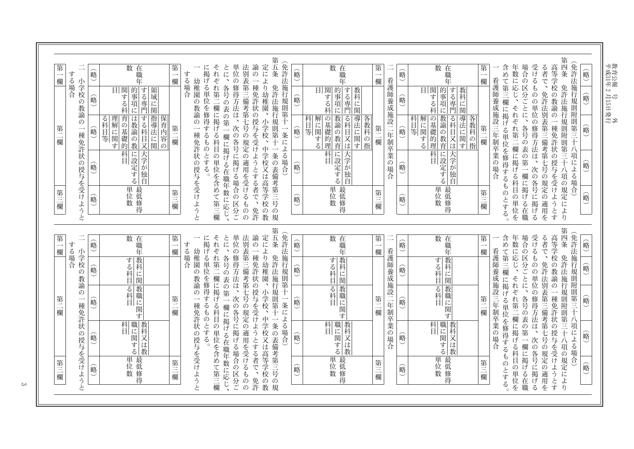第五条 第四条 (免許法施行規則第十一条による場合) (免許法施行規則附則第三十 第 在職年 第一欄 それぞれ第二欄に掲げる科目の単位を含めて第三欄 とに、各号の表の第一欄に掲げる在職年数に応じ、 単位の修得方法は、次の各号に掲げる場合の区分ご 法別表第三備考第七号の規定の適用を受けるものの 諭の一種免許状の授与を受けようとする者で、免許 定により幼稚園、 在職年 第一 在職年 第一欄 年数に応じ、それぞれ第二欄に掲げる科目の単位を 場合の区分ごとに、各号の表の第一欄に掲げる在職 受けるものの単位の修得方法は、次の各号に掲げるる者で、免許法別表第三備考第七号の規定の適用を 高等学校の教諭の一種免許状の授与を受けようとす 数 に掲げる単位を修得するものとする。 数 数 含めて第三欄に掲げる単位を修得するものとする  $\overline{\phantom{0}}$ 略 略 俞略 略 する場合 する場合 欄 欄 幼稚園の教諭の一種免許状の授与を受けようと 看護師養成施設二年制卒業の場合 看護師養成施設三年制卒業の場合 小学校の教諭の 目 関する科<br>|<br>|<br>|<br>|<br>|<br>|<br>|<br>| ,り幼稚園、小学校、中学校又は高等学校の教免許法施行規則第十一条の表備考第三号の規 |的事項に||<br>|朝 朝 門| 免許法施行規則附則第三十八項の規定により |的事項に |する専門| 目 ぼる科 目関する科 する専門 領域に関 教科に関 喻 略 嗡 龠 |理解に関す ||指導法に関| |導法に関す| - 教諭の教育 る科目等 科目等 |の基礎的理 導法に関す 科目等 の基礎的理 教諭の教育 は教諭の教 する科目又 る科目又は 解に関する 各教科の指 解に関する 喻 翁 喻 俞略 第二欄 第 一種免許状の授与を受けよう 第二欄 第二欄 欄 八項による場合 **「科目」<br>「科目」** ||科目<br>|に設定する| ||科目<br>||ドンキーの「トー」に設定する| 大学が独自 大学が独自 峪 嗡 峪 嗡 单位数学 |単位数 单位数学 第三欄 第三欄 第三欄 第三欄 略 俞  $\begin{matrix} \widehat{\mathbb{R}} \\ \widehat{\mathbb{R}} \end{matrix}$ 略 と 第四条 第五条 (免許法施行規則第十一条による場合) (免許法施行規則附則第三十  $\equiv$ 数在職年 単位の修得方法は、次の各号に掲げる場合の区分ご法別表第三備考第七号の規定の適用を受けるものの 諭の一種免許状の授与を受けようとする者で、免許 定により幼稚園、 数 在職年 第一欄 数在職年 受けるものの単位の修得方法は、次の各号に掲げる 第 第 とに、各号の表の第一欄に掲げる在職年数に応じ、 第 年数に応じ、それぞれ第二欄に掲げる科目の単位を 場合の区分ごとに、各号の表の第一欄に掲げる在職 る者で、免許法別表第三備考第七号の規定の適用を 高等学校の教諭の一種免許状の授与を受けようとす に掲げる単位を修得するものとする。 それぞれ第二欄に掲げる科目の単位を含めて第三欄 含めて第三欄に掲げる単位を修得するものとする 喻  $\overline{\phantom{a}}$ 峪 俞略 喻 する場合 一欄 する場合 一欄 欄 小学校の教諭の 幼稚園の教諭の一種免許状 看護師養成施設二年制卒業の場合 看護師養成施設三年制卒業の場合 5り幼稚園、小学校、中学校又は高等学校の教免許法施行規則第十一条の表備考第三号の規 免許法施行規則附則第三十八項の規定により |教科に関 する科目 教科に関 する科目 する科目 命 喻 嗡 喻 |る科目 |る科目 |教職に関す 核職に関す 嗡 第 翁 第 略 第二欄 第二欄 一種免許状の授与を受けようと 翁 一欄 福 八項による場合) |職に関する| |科目 職に関する| 科目 教科又は教 科目 教科又は教 職に関する 俞略 の授与を受けようと 峪 峪 嗡

单位数 事故

略

第三欄

嗡

单位数学

第三欄

教育公報 号<br>平成31年2月15日発行

略

第三

禰

嗡

单位数 事故

第三欄

 $\infty$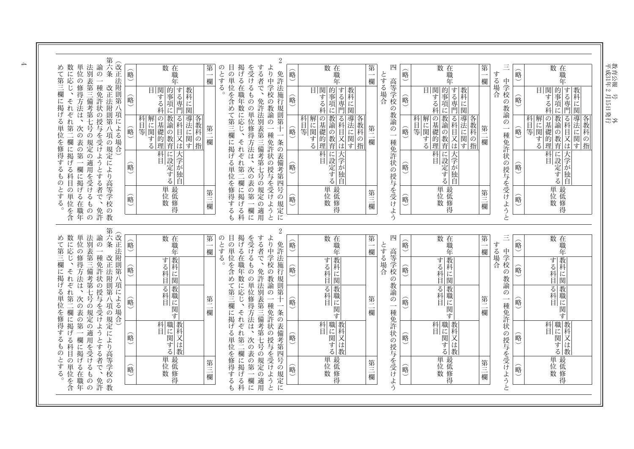教育公報 号<br>平成31年 2月15日発行<br>-

|                                                   |                       |                                              |                                         |               |                                                                    |                                    |       |                      |              |                                |                    | $\overline{2}$                                               |               |                                                                                       |                                    |                                           |       |                                                          |          |                                                   |    |                                                                         |
|---------------------------------------------------|-----------------------|----------------------------------------------|-----------------------------------------|---------------|--------------------------------------------------------------------|------------------------------------|-------|----------------------|--------------|--------------------------------|--------------------|--------------------------------------------------------------|---------------|---------------------------------------------------------------------------------------|------------------------------------|-------------------------------------------|-------|----------------------------------------------------------|----------|---------------------------------------------------|----|-------------------------------------------------------------------------|
|                                                   | 単位                    | 諭<br>法别<br>$\mathcal{O}$                     | 第六条                                     | 俞略            | 数在<br>職<br>军                                                       | 第<br>$\overline{\phantom{a}}$<br>欄 | のとする。 | 目の<br>単              |              | を受けるもの                         | する者で、              | より中学校                                                        | 翁             | 数在職年                                                                                  | 第<br>$\overline{\phantom{a}}$<br>欄 | 四                                         | 略     | 数在職年                                                     | 第<br>欄   | Ξ<br>する場合                                         | 硲  | 数在職年                                                                    |
|                                                   |                       |                                              |                                         | 900           | する専門<br>目関する<br>教科<br>的事項に<br>に関<br>科                              |                                    |       |                      | 掲げる在職年数に応じ、  |                                |                    | 免許法施行規則第<br>いの教諭                                             | 喻             | する専門<br>目 関する科<br>教科<br>的事項に<br>に関                                                    |                                    | とする場合<br>高等学校                             | 俞略    | する専門<br>目関する<br>的事項に<br>教科<br>に<br>科<br>関                |          | 中学校<br>の教諭                                        | 俞略 | する専門<br>関する科<br>的事項に<br>教科<br>日<br>に関                                   |
|                                                   |                       |                                              | (改正法附則第八項による場合)                         | 俞略            | 教諭の教育<br>導法に!<br>解に関する<br>の基礎的理<br>る科目又は<br>各教科の指<br>科<br>目等<br>関す | 第二<br>欗                            |       |                      |              |                                |                    | $\mathcal{O}$<br>$\!+\!$<br>$\overline{\phantom{0}}$<br>種免許状 | 略             | 導法に関す<br>教諭の教育<br>る科目又は<br> 科  解<br> <br>等  <br>等 <br>の基礎的理<br>各教科<br>.する<br> の<br> 指 | 第二<br>一欄                           | の教諭<br>の<br>$\overline{\phantom{0}}$<br>種 | 俞略    | 教諭の教育<br>る科目又は<br>導法に関<br>科目等<br>各教科<br>の基礎的理<br>の指<br>す | 第二<br>欄  | $\mathcal{O}$<br>$\overline{\phantom{a}}$<br>種免許! | 略  | 教諭の教育<br>る科<br> 導法に関す <br>解に関<br>科<br>の基礎的理<br>国等<br>目<br>.する<br>又<br>は |
| 数に応じ、それぞれ第二欄に掲げる科目の単位を含<br>めて第三欄に掲げる単位を修得するものとする。 | の修得方法は、次の表の第一欄に掲げる在職年 | 表第三備考第七号の規定の適用を受けるものの<br>一種免許状の授与を受けようとする者で、 | 改正法附則第八項の規定により高等学校の教                    | 俞略            | 大学が独自<br>  科目<br> 1に設定する                                           |                                    |       | 位を含めて第三欄に掲げる単位を修得するも | それぞれ第二欄に掲げる科 | の単位修得方法は、次の表の第一欄に              | 免許法別表第三備考第七号の規定の適用 | 一条の表備考第四号の規定に                                                | 嗡             | 科目<br>大学が独<br>に設定する<br>自                                                              |                                    | 免許状の授与を受けよう                               | 峪     | 科目 <br>大学が独自                                             |          | 状                                                 | 略  | 科目 定する                                                                  |
|                                                   |                       | 免許                                           |                                         | 硲             | 単位数<br>最低修得                                                        | 第三欄                                |       |                      |              |                                |                    | の授与を受けようと                                                    | 硲             | 单位数学                                                                                  | 第三欄                                |                                           | 略     | 単位数<br>最低修得                                              | 第三欄      | の授与を受けようと                                         | 略  | 単位数                                                                     |
|                                                   |                       |                                              |                                         |               |                                                                    |                                    |       |                      |              |                                |                    | $\sqrt{2}$                                                   |               |                                                                                       |                                    |                                           |       |                                                          |          |                                                   |    |                                                                         |
| 数に応じ、                                             | 単位                    | 諭<br>法别<br>$\mathcal{O}$                     | 第六条                                     | 硲<br>ت        | 数 在職年                                                              | 第一欄                                | のとする。 |                      |              |                                | する者で、              | より中学校                                                        | 俞略            | 数 在職年                                                                                 | 第<br>一欄                            | 四                                         | 硲     | 数 在職年                                                    | 第<br>欄   | $\equiv$<br>する場合                                  | 俞略 | 数在職年                                                                    |
|                                                   | の修得方法は、               | 一種免許状                                        |                                         | 俞             | 教科に関<br>する科目                                                       |                                    |       |                      | 掲げる在職年数に応じ、  |                                |                    | 免許法施行規則第<br>5の教諭                                             | 翁             | する科目                                                                                  |                                    | とする場合<br>高等学校<br>5の教諭                     | 略<br> | 教科に関<br>する科目                                             |          | 中学校<br>の教諭                                        | 硲  | 教科に関 <br>する科目                                                           |
|                                                   |                       |                                              |                                         | 翁             | 教職に<br>る科目<br>関す                                                   | 第二欄                                |       | 目の単位を含めて第三欄に掲げる単位    |              | を受けるものの単位修得方法は、                |                    | $\mathcal{O}$<br>$\!+\!$<br>一種免許状                            | 喻             | る科目                                                                                   | 第二<br>一欄                           | $\mathcal{O}$<br>$\overline{\phantom{a}}$ | 俞略    | る科目<br> 教職に<br>関す                                        | 第二<br>一欄 | $\mathcal{D}$<br>$\longrightarrow$<br>種免許状        | 俞略 | る科目<br>一教職に<br>関<br>゙゙゙゙゙゙゙゙゙゙                                          |
| めて第三欄に掲げる単位を修得するものとする。<br>それぞれ第二欄に掲げる科目の単位を含      | 次の表の第一欄に掲げる在職年        | 表第三備考第七号の規定の適用を受けるもの<br>の授与を受けようとする者で、       | R六条 改正法附則第八項の規定により高等学校の教(改正法附則第八項による場合) | 硲             | 科目 戦に関する                                                           |                                    |       |                      | それぞれ第二欄に掲げる科 | 次の表の第                          | 免許法別表第三備考第七号の規定の適用 | 一条の表備考第四号の規定に                                                | 峪             | 科目 環する                                                                                |                                    | 種免許状の授与を受けよう                              | 俞     | 科目 はいのは、<br> 職に関する                                       |          |                                                   | 倫略 | 科目 「戦に関する」                                                              |
|                                                   |                       | 免許                                           |                                         | 硲<br>$\smile$ | 単位数<br>数<br>                                                       | 第三欄                                |       | を修得するも               |              | $\overline{\phantom{0}}$<br>欄に |                    | の授与を受けようと                                                    | 硲<br>$\smile$ | 単位数                                                                                   | 第三欄                                |                                           | 俞略    | 単位数                                                      | 第三欄      | の授与を受けようと                                         | 略  | 単位数<br>最低修得                                                             |
|                                                   |                       | $\mathcal{D}$                                |                                         |               |                                                                    |                                    |       |                      |              |                                |                    |                                                              |               |                                                                                       |                                    |                                           |       |                                                          |          |                                                   |    |                                                                         |

 $\Rightarrow$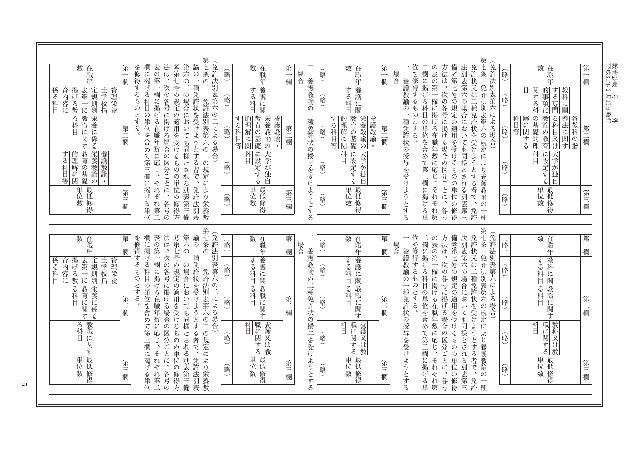教育公報 号<br>平成31年 2 月15日発行<br>——

| 衉 | 数 在<br>職<br>年                                                                                       | 第<br>欄  |
|---|-----------------------------------------------------------------------------------------------------|---------|
| 略 | 的<br>教科<br>関する科<br>する専門<br>目<br>事<br>項<br>に関<br>ĺΣ                                                  |         |
| 略 | 導法に関<br>教諭の教<br>科<br>解<br>る科<br>の基礎的<br>各<br>1教科の:<br>目等<br>に<br>関する<br>目又<br>ぼ<br>育<br>指<br>理<br>す | 第<br>欄  |
| 衉 | 大学が<br>科<br>に<br>設定する<br>独<br>Ĥ                                                                     |         |
| 衉 | 単位数<br>最<br>低修得                                                                                     | 第三<br>欄 |

∴∴…………………… 欄に掲げる在啦を含めて第三欄に掲げる単の表の第一欄に掲げる在職年数に応じ、それぞれ第方法は、次の各号に掲げる場合の区分ごとに、各号備考第七号の規定の適用を受けるものの単位の修得法別表第六の場合においても同様とされる別表第三免許状又は二種免許状を受けようとする者で、免許 第七条 R七条 免許法別表第六の規定により養護教諭の一種(免許法別表第六による場合) 位を修得するものとする。

場合 養護教諭の一種免許状の授与を受けようとする

| 場合 |                       | 的 | 数<br>在職<br>年                                              | 第<br>欄  |
|----|-----------------------|---|-----------------------------------------------------------|---------|
|    |                       | 衉 | 養<br>する科<br>兵護に<br>.<br>関                                 |         |
|    | 養護教諭の二種免許状の授与を受けようとする | 略 | 養護教諭<br>教育の基礎<br>栄養教諭の<br>的<br>する科!<br>理<br>解に<br>目等<br>関 | 第<br>欄  |
|    |                       | 略 | 大学が独自<br>科<br>に設定する<br>曰                                  |         |
|    |                       | 鰫 | 単<br>最<br>位数<br>底修得                                       | 第三<br>欄 |
|    |                       |   |                                                           |         |

養護教諭·

第

一欄

第二欄

第三欄

| 略 | 数<br>在<br>職<br>年                                                                                                                      |
|---|---------------------------------------------------------------------------------------------------------------------------------------|
| 略 | 養<br>す<br>護<br>る科<br>に<br>関                                                                                                           |
| 略 | 栄<br>教<br>的<br>す<br>育<br>$\zeta$<br>養<br>理<br>教<br>科<br>解<br>$\mathcal{Q}$<br>諭<br>Ħ<br>基礎<br>に<br>等<br>$\overline{\mathcal{O}}$<br>関 |
| 略 | 大学が<br>科<br>に設定<br>曰<br>海自<br>す<br>る                                                                                                  |
| 略 | 単<br>最低<br>位<br>修<br>数<br>得                                                                                                           |

第七条の二 免許法別表第六の二6(免許法別表第六の二による場合) 欄に掲げる科目の単位を含めて第三欄に掲げる単位表の第一欄に掲げる在職年数に応じ、それぞれ第二法は、次の各号に掲げる場合の区分ごとに、各号の考第七号の規定の適用を受けるものの単位の修得方第六の二の場合においても同様とされる別表第三備 諭の を修得するものとする。 一種免許状を受けようとする者で、免許法別表の二 免許法別表第六の二の規定により栄養教

| 数 在<br>職<br>年                                                                             | 第<br>欄 |
|-------------------------------------------------------------------------------------------|--------|
| 係 育 掲 表 定 士 管理<br>る内げ 第 規 学校<br>科 容 る 一 則 指 養<br>目 に 教 に 別 指 養                            |        |
| る 教 栄<br>科育養<br>目にに<br>目に<br>関係<br>する                                                     | 第<br>欄 |
| 教育の基礎<br>本<br>基<br><br>的<br>する<br>護<br><b>『理解に関</b><br>科目<br>教<br>論<br>等<br>$\mathcal{O}$ |        |
| 単 最<br>位 低<br>数修<br>得                                                                     | 第<br>欄 |

| 略 | 数 在<br>職年                                     | 第<br>欄  |
|---|-----------------------------------------------|---------|
| 略 | 教科<br>する科<br>に<br>.<br>関                      |         |
| 略 | る科<br>教職に<br>.<br>関<br>す                      | 第<br>欄  |
| 略 | 科<br>職<br>教<br>科<br>に<br>関<br>又<br>(は教<br>べする |         |
| 略 | 単位数<br>最低修<br>得                               | 第三<br>欄 |

第七条 免許法別表第六の規定により養護教諭の一種(免許法別表第六による場合) ∵…………」げる科目の単位を含めて第三欄に掲げる単の表の第一欄に掲げる在職年数に応じ、それぞれ第方法は、次の各号に掲げる場合の区分ごとに、各号備考第七号の規定の適用を受けるものの単位の修得 法別表第六の場合においても同様とされる別表第三免許状又は二種免許状を受けようとする者で、免許

一 養護教諭の一種免許状位を修得するものとする。 場合 養護教諭の一種免許状の授与を受けようとする

| 略 | 数 在<br>職<br>年                                 | 第<br>欄  |
|---|-----------------------------------------------|---------|
| 略 | 養<br>す<br>る科<br>護<br>汇<br>関<br>Ħ              |         |
| 略 | る科目<br>科目<br> <br> <br> <br>゚゙゙゙゙゙゙゙゙゙゙゙゙゙゙゙゙ | 第<br>欄  |
| 鰫 | 養護又<br>職に関する<br>科<br>Ë<br>仕<br>教              |         |
| 略 | 単最低<br>数<br>修<br>得                            | 第三<br>欄 |
|   |                                               |         |

 $\overline{\phantom{0}}$ 場合 養護教諭の二種免許状の授与を受けようとする

| 数 在<br>職<br>年                          | 第<br>欄 |
|----------------------------------------|--------|
| 養<br>する<br>護<br>汇<br>科<br>関<br>Ħ       |        |
| る科目<br>科目<br>トライト                      | 第<br>欄 |
| 職<br>科<br>養護又は<br>Ħ.<br>に<br>に関する<br>教 |        |
| 単<br>最低<br>莅<br>数<br>修<br>得            | 第<br>欄 |
|                                        |        |

(略)

的

赠

略

喻

第七条の二 免許法別表第六の二(余許法別表第六の二による場合) 諭の 欄に掲げる科目の単位を含めて第三欄に掲げる単位表の第一欄に掲げる在職年数に応じ、それぞれ第二 法は、次の各号に掲げる場合の区分ごとに、各号の考第七号の規定の適用を受けるものの単位の修得方第六の二の場合においても同様とされる別表第三備 を修得するものとする。 一種免許状を受けようとする者で、 **兜許状を受けようとする者で、免許法別表 免許法別表第六の二の規定により栄養教** 

| 年<br>育掲表<br>内学第規<br>容子 (以前)<br>ないのかない<br>ないかいかい<br>管<br>係 育<br>る内<br>学理栄<br>科<br>指養<br>日<br>る教育<br>科育に<br>関係<br>す<br>$\mathcal{Z}_{\mathcal{D}}$<br>教<br>る<br>職に<br>科<br>日<br>関<br>す<br>単<br>最 | 数在<br>職 | 第       |
|------------------------------------------------------------------------------------------------------------------------------------------------------------------------------------------------|---------|---------|
|                                                                                                                                                                                                |         | 欄       |
|                                                                                                                                                                                                |         | 第<br>欄  |
| 修得<br>数                                                                                                                                                                                        | 低<br>位  | 第三<br>欄 |

 $\mathbf{C}$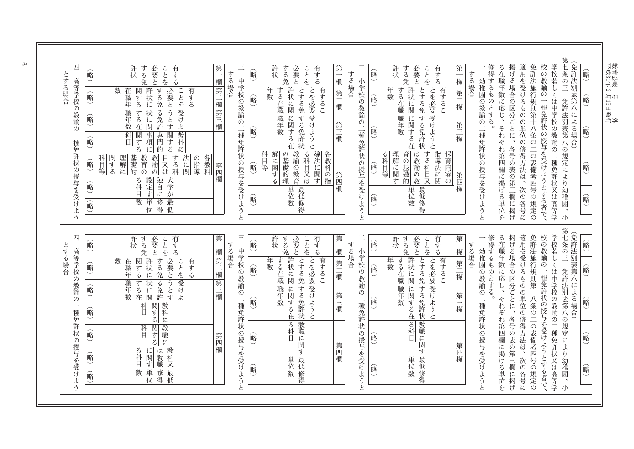$\frac{1}{\sqrt{2}}$ 成31年2月15日 発行 教育公報 号 外

略  $\overline{\phantom{0}}$  $\overline{\phantom{0}}$ 略  $\overline{\phantom{0}}$  $\overline{\phantom{0}}$ 略  $\ddot{\phantom{1}}$  $\overline{\phantom{0}}$ 略  $\overline{\phantom{0}}$  $\overline{\phantom{0}}$ 略  $\overline{\phantom{0}}$ 

 $\overline{\phantom{0}}$ 

免許法別表第八による場合  $\overline{\phantom{0}}$ 

 $\overline{\phantom{0}}$ 

第七条の三 免許法別表第八の規定により幼稚園、小 学校若しくは中学校の教諭の二種免許状又は高等学 校の教諭の一種免許状の授与を受けようとする者で、 免許法施行規則第十八条の二の表備考四号の規定の 適用を受けるものの単位の修得方法は、次の各号に 掲げる場合の区分ごとに、各号の表の第三欄に掲げ る在職年数に応じ、 それぞれ第四欄に掲げる単位を 修得するものとする。

幼稚園の教諭の二種免許状の授与を受けようと する場合

=

| $\overline{a}$        | 略 | 許<br>必要と<br>ことを<br>有する<br>する免<br>状                                                    | 第<br>欄  |
|-----------------------|---|---------------------------------------------------------------------------------------|---------|
| 、さ交)女前)二重己干犬)受手三爻ナニシー | 略 | 許<br>とする免<br>年<br>有するこ<br>する在職<br>=状に関<br>数                                           | 第二<br>欄 |
|                       | 略 | とを必要 受けようと<br> する免許状<br>職<br>に<br>関する在<br>军数                                          | 第三<br>欗 |
|                       | 衉 | 指導法に関<br>する科目又<br>保<br>育<br>る科目等<br>理<br>は教諭の<br> 解に関<br>育内容の<br>:の基礎:<br>ゔ<br>韵<br>教 | 第四      |
|                       | 衉 | 単位<br>最<br>低<br>数<br>一修得                                                              | 欄       |
|                       |   |                                                                                       |         |

Ξ. 小学校の教諭の二種免許状の授与を受けようと する場合

|                           | 略 | 必要と<br>許<br>ことを<br>有する<br>する<br>状<br>免                                                                         | 第<br>欄  |
|---------------------------|---|----------------------------------------------------------------------------------------------------------------|---------|
|                           | 略 | 許<br>とする免<br>有するこ<br>年<br>する在職<br>=状に関<br>数                                                                    | 第二<br>欄 |
|                           | 略 | とを必要 受けようと<br> する免<br>に<br>職<br>関する<br>年<br>数<br>評<br>在<br>状                                                   | 第三欄     |
| 三 - 中学校の教諭の二種免許状の授与を受けようと | 衉 | 導法に<br>教諭の教育<br>る科<br>各<br>科<br>解<br>の<br>基<br>教科の指<br>目等<br>に<br>霊礎的<br>関する<br>目又は<br>.<br>関<br>゙゙゙゙゚゙゙゙<br>理 | 第四欄     |
|                           | 略 | 単位数<br>最<br>低修得                                                                                                |         |
|                           |   |                                                                                                                |         |

する場合 第 =欄 第 Ξ. 欄 第  $\equiv$ 欄 第 M欄

する場合

| 四            | 略  | 許<br>する<br>有<br>必<br>こ<br>と<br>状<br>要                                                                      | 第   |  |
|--------------|----|------------------------------------------------------------------------------------------------------------|-----|--|
|              |    | ぶする<br>を<br>免<br>ど                                                                                         | 欄   |  |
|              |    | 許<br>必<br>数<br>有<br>する<br>関<br>在                                                                           | 第二  |  |
| 高等学校の教諭の一    | 俞略 | ことを受け<br>获<br>要<br>職<br>ヺ<br>゙す<br>$\overline{z}$<br>免<br>$\zeta$<br>年<br>に                                | 禰   |  |
|              |    | とうと<br>する<br>職年<br>状<br>る免                                                                                 |     |  |
|              | 俞略 | に<br>数<br>す<br>ょ<br>関<br>在<br>許                                                                            | 第三欄 |  |
|              |    | 科<br>事<br>専<br>関<br>教<br>関                                                                                 |     |  |
|              | 倫  | 菛<br>゙゙゙゙゙゙゙゙゙<br>す<br>科<br>Ħ<br>項<br>z<br>的<br>z<br>に                                                     |     |  |
| 種免許状の授与を受けよう | 俞略 | 教<br>法<br>教<br>関<br>基<br>する<br>各<br>科<br>理<br>の<br>礎<br>育<br>指導<br>゙゙゙゙゙゙゙゙<br>諭<br>Ż<br>目等<br>解<br>教<br>に | 第   |  |
|              |    | $\overline{z}$<br>的<br>科<br>は<br>科<br>関<br>の<br>の<br>に                                                     | 四   |  |
|              | 略  | 独<br>設定<br>天<br>z<br>科<br>学<br>È                                                                           | 欄   |  |
|              |    | す<br>が<br>に                                                                                                |     |  |
|              | 峪  | 単<br>修<br>数<br>最<br>位<br>得<br>低                                                                            |     |  |
|              |    |                                                                                                            |     |  |
|              |    |                                                                                                            |     |  |

| j<br>F                        |   |
|-------------------------------|---|
| 誶<br>Ì                        | 衉 |
| 叧<br>表第<br>l                  | 略 |
| 場<br>$\stackrel{\text{A}}{4}$ | 略 |
|                               | 略 |
|                               | 略 |

第七条の三 免許法別表第八の規定により幼稚園、小 学校若しくは中学校の教諭の二種免許状又は高等学 校の教諭の一種免許状の授与を受けようとする者で、 免許法施行規則第一八条の二の表備考四号の規定の 適用を受けるものの単位の修得方法は、次の各号に 掲げる場合の区分ごとに、各号の表の第三欄に掲げ る在職年数に応じ、 それぞれ第四欄に掲げる単位を 修得するものとする。 =

幼稚園の教諭の二種免許状の授与を受けようと する場合

|                       | 峪 | 許状<br>ことを<br>有する<br>する免<br>「必要と」                  | 第        |
|-----------------------|---|---------------------------------------------------|----------|
|                       |   |                                                   | 欄        |
|                       | 峪 | 許状に関<br>年<br>有するこ<br>する在職<br>数                    | 第二<br>一欄 |
| 小学校の教諭の二種免許状の授与を受けようと | 略 | とを必要 受けようと<br>とする免 する免許状<br> に関する<br>職年<br>数<br>在 | 第三欄      |
|                       | 略 | 教職に関す<br>る科目                                      | 第四欄      |
|                       | 峪 | 最低修得<br>単位数                                       |          |
|                       |   |                                                   |          |

小 学 校 の 教 諭 の  $\overline{\phantom{a}}$ 種 免 許 状 の 授 与 @受 ŀł ょ う d -す

| ¢       |
|---------|
| a,<br>ï |
|         |
|         |

| Ξ                     | 略  | 有する<br>許<br>必要と<br>ことを<br>する免<br>状                   | 第<br>欄  |
|-----------------------|----|------------------------------------------------------|---------|
|                       | 略  | 許状に関<br>有するこ<br>年<br>する在<br>数<br>職                   | 第二<br>欗 |
| 中学校の教諭の二種免許状の授与を受けようと | 略  | とする免 する免許状<br>とを必要 受けようと<br>職<br>に<br>関する在<br>年<br>数 | 第三欄     |
|                       | 命。 | 一る科<br>教職に関す                                         | 第四欄     |
|                       | 略  | 最<br>単位数<br>低修得                                      |         |
|                       |    |                                                      |         |

| 四                     | 略  | 許<br>必要<br>有する<br>する<br>ことを<br>状                                  | 第       |
|-----------------------|----|-------------------------------------------------------------------|---------|
|                       |    | بخ<br>免                                                           | 欄       |
|                       | 硲  | 許<br>必要とうと<br>する<br>数<br>関<br>有する<br>在<br>状<br>「する<br>職<br>年<br>に | 第二<br>欄 |
|                       | 略  | ことを受けよ<br>免る免<br>する<br>状<br>職年<br>汇<br>数<br>す<br>許<br>関<br>在      | 第三欄     |
| 高等学校の教諭の一種免許状の授与を受けよう | 峪  | 教科<br>関する<br>科<br>Ħ<br>に                                          |         |
|                       | 峪  | 教<br>関する<br>科<br>職<br>Ħ<br>に                                      | 第四      |
|                       | 俞略 | 教科<br>は<br>る科<br>に<br>関<br>教<br>゙゙゙゙゙゙゙゙<br>職<br>又                | 欄       |
|                       | 峪  | 単<br>修<br>数<br>最<br>位<br>得<br>低                                   |         |
|                       |    |                                                                   |         |

 $\infty$ 

とする場合

とする場合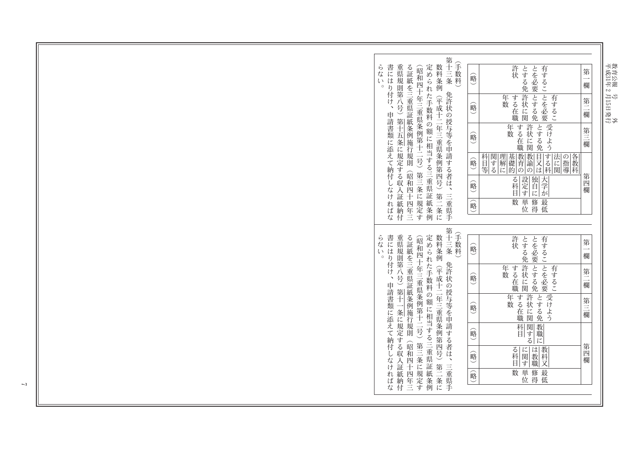教育公報 号<br>平成31年 2月15日発行<br>平成31年 2月15日発行

| 第十三条<br>手数料<br>数料条例<br>書には<br>定められた手数料の額に相当する三重県証<br>ら<br>重県規則第八号)<br>る証紙を三重県証紙条例施行規則<br>許状<br>とを必要<br>有するこ とを必要<br>とする免<br>〔昭和四十年三重県条例第十二号〕<br>第<br>な<br>略<br>び<br>欄<br>$\circ$<br>り付け、<br>免許状の授与等を申請する者は、三重県手<br> とする免<br>許状に関<br>年数<br>する在<br>有するこ<br>(平成十二年三重県条例第四号)<br>第<br>略<br>申請書類に添えて納付し<br>欄<br>- 第十五条に規定する収<br>職<br>受けよう<br>許状に関<br>年<br>する在<br>とする免<br>第三<br>数<br>略<br>欗<br>職<br>教育<br>教諭<br>目又<br>する科<br>関<br>基礎的<br> 各教科<br>科<br>理<br>法<br>の<br>指導<br>略<br>(する<br>解<br>にに関<br>目等<br>ば<br>に<br>の<br>の<br>第三条に規定す<br><b>昭和</b><br>第四<br>設定<br>独自<br>大学が<br>$\zeta$<br>科<br>略<br>欄<br>なけ<br>Ä<br>四<br>す<br>に<br>第二<br>証<br>数<br>単<br>修<br>最<br>ればな<br>紙条例<br>紙<br>四<br>略<br>位<br>海<br>低<br>一条に<br>松納付<br>年三<br>第十三<br>(手数料<br>書にはり付け、<br>数料条例<br>ら<br>重県規則第八号)第十一<br>る証紙を三重県証紙条例施行規則<br>定められた手数料の額に相当する三重県証紙条例<br>許状<br>とを必要 とする免<br>とする免<br>有するこ とを必要<br>〔昭和四十年三重県条例第十二号〕<br>第<br>痃<br>略<br>$\bar{\mathcal{C}}$<br>粂<br>欄<br>$\circ$<br>免許状の授与等を申請する者は、三重県手<br> 許状に関<br>年数<br>する在<br>有するこ<br>(平成十二年三重県条例第四号)<br>第<br>略<br>申請書類に添えて納付し<br>欄<br>職<br>受けよう<br>許状に関<br>年数<br>する在<br>とする免<br>第三<br>略<br>条に規定<br>欄<br>職<br>教<br>関<br>科<br>略<br>「する<br>Ħ<br>職<br>する収<br>に<br>第三条に<br>(昭和四<br>第四<br>教<br>る科<br>に<br>は<br>関<br>科<br>略<br>教<br>なければな<br>Ä<br>欄<br>す<br>職<br>又<br>第二条に<br>Ŧ<br>証<br>最<br>単<br>1規定<br>数<br>修<br>四<br>一紙納付<br>略<br>海<br>位<br>低<br>年三<br>す |  |  |  |  |  |  |
|--------------------------------------------------------------------------------------------------------------------------------------------------------------------------------------------------------------------------------------------------------------------------------------------------------------------------------------------------------------------------------------------------------------------------------------------------------------------------------------------------------------------------------------------------------------------------------------------------------------------------------------------------------------------------------------------------------------------------------------------------------------------------------------------------------------------------------------------------------------------------------------------------------------------------------------------------------------------------------------------------------------------------------------------------------------------------------------------------------------------------------------------------------------------------------------------------------------------------------------------------------------------------------------------------------------------------------------------------------------------------|--|--|--|--|--|--|
|                                                                                                                                                                                                                                                                                                                                                                                                                                                                                                                                                                                                                                                                                                                                                                                                                                                                                                                                                                                                                                                                                                                                                                                                                                                                                                                                                                          |  |  |  |  |  |  |
|                                                                                                                                                                                                                                                                                                                                                                                                                                                                                                                                                                                                                                                                                                                                                                                                                                                                                                                                                                                                                                                                                                                                                                                                                                                                                                                                                                          |  |  |  |  |  |  |
|                                                                                                                                                                                                                                                                                                                                                                                                                                                                                                                                                                                                                                                                                                                                                                                                                                                                                                                                                                                                                                                                                                                                                                                                                                                                                                                                                                          |  |  |  |  |  |  |
|                                                                                                                                                                                                                                                                                                                                                                                                                                                                                                                                                                                                                                                                                                                                                                                                                                                                                                                                                                                                                                                                                                                                                                                                                                                                                                                                                                          |  |  |  |  |  |  |
|                                                                                                                                                                                                                                                                                                                                                                                                                                                                                                                                                                                                                                                                                                                                                                                                                                                                                                                                                                                                                                                                                                                                                                                                                                                                                                                                                                          |  |  |  |  |  |  |
|                                                                                                                                                                                                                                                                                                                                                                                                                                                                                                                                                                                                                                                                                                                                                                                                                                                                                                                                                                                                                                                                                                                                                                                                                                                                                                                                                                          |  |  |  |  |  |  |
|                                                                                                                                                                                                                                                                                                                                                                                                                                                                                                                                                                                                                                                                                                                                                                                                                                                                                                                                                                                                                                                                                                                                                                                                                                                                                                                                                                          |  |  |  |  |  |  |
|                                                                                                                                                                                                                                                                                                                                                                                                                                                                                                                                                                                                                                                                                                                                                                                                                                                                                                                                                                                                                                                                                                                                                                                                                                                                                                                                                                          |  |  |  |  |  |  |
|                                                                                                                                                                                                                                                                                                                                                                                                                                                                                                                                                                                                                                                                                                                                                                                                                                                                                                                                                                                                                                                                                                                                                                                                                                                                                                                                                                          |  |  |  |  |  |  |
|                                                                                                                                                                                                                                                                                                                                                                                                                                                                                                                                                                                                                                                                                                                                                                                                                                                                                                                                                                                                                                                                                                                                                                                                                                                                                                                                                                          |  |  |  |  |  |  |
|                                                                                                                                                                                                                                                                                                                                                                                                                                                                                                                                                                                                                                                                                                                                                                                                                                                                                                                                                                                                                                                                                                                                                                                                                                                                                                                                                                          |  |  |  |  |  |  |
|                                                                                                                                                                                                                                                                                                                                                                                                                                                                                                                                                                                                                                                                                                                                                                                                                                                                                                                                                                                                                                                                                                                                                                                                                                                                                                                                                                          |  |  |  |  |  |  |
|                                                                                                                                                                                                                                                                                                                                                                                                                                                                                                                                                                                                                                                                                                                                                                                                                                                                                                                                                                                                                                                                                                                                                                                                                                                                                                                                                                          |  |  |  |  |  |  |
|                                                                                                                                                                                                                                                                                                                                                                                                                                                                                                                                                                                                                                                                                                                                                                                                                                                                                                                                                                                                                                                                                                                                                                                                                                                                                                                                                                          |  |  |  |  |  |  |
|                                                                                                                                                                                                                                                                                                                                                                                                                                                                                                                                                                                                                                                                                                                                                                                                                                                                                                                                                                                                                                                                                                                                                                                                                                                                                                                                                                          |  |  |  |  |  |  |
|                                                                                                                                                                                                                                                                                                                                                                                                                                                                                                                                                                                                                                                                                                                                                                                                                                                                                                                                                                                                                                                                                                                                                                                                                                                                                                                                                                          |  |  |  |  |  |  |
|                                                                                                                                                                                                                                                                                                                                                                                                                                                                                                                                                                                                                                                                                                                                                                                                                                                                                                                                                                                                                                                                                                                                                                                                                                                                                                                                                                          |  |  |  |  |  |  |
|                                                                                                                                                                                                                                                                                                                                                                                                                                                                                                                                                                                                                                                                                                                                                                                                                                                                                                                                                                                                                                                                                                                                                                                                                                                                                                                                                                          |  |  |  |  |  |  |
|                                                                                                                                                                                                                                                                                                                                                                                                                                                                                                                                                                                                                                                                                                                                                                                                                                                                                                                                                                                                                                                                                                                                                                                                                                                                                                                                                                          |  |  |  |  |  |  |
|                                                                                                                                                                                                                                                                                                                                                                                                                                                                                                                                                                                                                                                                                                                                                                                                                                                                                                                                                                                                                                                                                                                                                                                                                                                                                                                                                                          |  |  |  |  |  |  |
|                                                                                                                                                                                                                                                                                                                                                                                                                                                                                                                                                                                                                                                                                                                                                                                                                                                                                                                                                                                                                                                                                                                                                                                                                                                                                                                                                                          |  |  |  |  |  |  |
|                                                                                                                                                                                                                                                                                                                                                                                                                                                                                                                                                                                                                                                                                                                                                                                                                                                                                                                                                                                                                                                                                                                                                                                                                                                                                                                                                                          |  |  |  |  |  |  |
|                                                                                                                                                                                                                                                                                                                                                                                                                                                                                                                                                                                                                                                                                                                                                                                                                                                                                                                                                                                                                                                                                                                                                                                                                                                                                                                                                                          |  |  |  |  |  |  |
|                                                                                                                                                                                                                                                                                                                                                                                                                                                                                                                                                                                                                                                                                                                                                                                                                                                                                                                                                                                                                                                                                                                                                                                                                                                                                                                                                                          |  |  |  |  |  |  |
|                                                                                                                                                                                                                                                                                                                                                                                                                                                                                                                                                                                                                                                                                                                                                                                                                                                                                                                                                                                                                                                                                                                                                                                                                                                                                                                                                                          |  |  |  |  |  |  |
|                                                                                                                                                                                                                                                                                                                                                                                                                                                                                                                                                                                                                                                                                                                                                                                                                                                                                                                                                                                                                                                                                                                                                                                                                                                                                                                                                                          |  |  |  |  |  |  |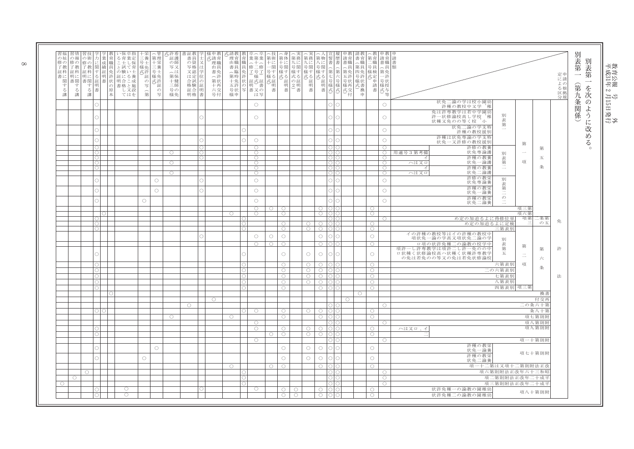| の報<br>修の<br>修の<br>了教<br>了教<br>証科<br>明に<br>書関<br>関<br>す<br>す<br>る<br>る講<br>講 | の術<br>修の<br>了教<br>証科<br>明に<br>書関す<br>る講<br>聿 | 業<br>成<br>績証<br>免<br>る 明書 | い保卒指<br>、ることの証E・キー業としている。<br>育<br>職<br>許<br>状<br> 明合こ成<br>書格と施<br>$\mathcal{O}$<br>原<br>し又設<br>苯<br>てはを | 三養<br>号士<br>,様免許<br>証<br>$\Xi$<br>(第 | 第理<br>十栄<br>三養<br>号士<br>様免<br>の式許<br>証<br>$\mathcal{D}$<br>写 | 式許看<br>証護<br>の師<br>写又<br>へは<br>第保<br>十健<br>三師<br>号の<br>様免 | 書証教<br>書員<br>の資<br>写格<br>又認<br>は定<br>合試<br>格験<br>証合<br>明格書 | $\mathcal{D}$<br>証<br>明 | 様申教<br>式請育<br>理職<br>由員<br>書免<br>へ許<br>第状<br>十再<br>六交<br>号付 | 式請教<br>理育<br>由職<br>書員<br>へ臨<br>第時<br>様申 | 育<br>職<br>員<br>兔許 | 業第業<br>(十)<br>修二修<br>了号<br>様<br>+免 状 証式証<br>五許 の 明 書<br>号状 写 書又の<br>は写 | 第術<br>- 十一関す<br>十一男す<br>様る<br>三、元郎 書 | 第体<br>・に<br>·<br>号関<br>様す<br>式る証<br>明<br>書 | 第務<br>九に<br>ん号様式の2)<br>害 | 第務<br>れに<br>号関<br>様す<br>。式) 証明<br>書 | 第物<br>ハに<br>号関<br>様す  | 書<br>書<br>命<br>第<br>₩式)<br>第七号様式<br><sub>第</sub> 七号様式 | 請育<br>書職<br>(第五号)<br>様再式交<br>付 | 書育<br>へ職<br>第員<br>四免許<br>号許<br>様状<br>式書換<br>重 | 第育<br>二号様                | 前書(第)<br> <br> 第一号様式)<br> 横式)<br> 横式)<br>等 | 請書類                                                                                         |                | 定による区分 | 別<br>表第<br>別<br>表第<br>$\longrightarrow$<br>$\overline{\phantom{a}}$ |
|-----------------------------------------------------------------------------|----------------------------------------------|---------------------------|---------------------------------------------------------------------------------------------------------|--------------------------------------|--------------------------------------------------------------|-----------------------------------------------------------|------------------------------------------------------------|-------------------------|------------------------------------------------------------|-----------------------------------------|-------------------|------------------------------------------------------------------------|--------------------------------------|--------------------------------------------|--------------------------|-------------------------------------|-----------------------|-------------------------------------------------------|--------------------------------|-----------------------------------------------|--------------------------|--------------------------------------------|---------------------------------------------------------------------------------------------|----------------|--------|---------------------------------------------------------------------|
|                                                                             |                                              |                           |                                                                                                         |                                      |                                                              |                                                           |                                                            |                         |                                                            |                                         |                   | $\circlearrowright$                                                    |                                      |                                            |                          |                                     |                       | ∩<br>C                                                |                                |                                               |                          | $\circlearrowright$                        | 状免二論の学は校小園乡<br>許種の教校中又学 稚                                                                   |                |        |                                                                     |
|                                                                             |                                              |                           |                                                                                                         |                                      |                                                              |                                                           |                                                            |                         |                                                            |                                         |                   | $\circlearrowright$                                                    |                                      |                                            |                          |                                     |                       |                                                       |                                |                                               |                          | $\circlearrowright$                        | 免は許専教学は若中学園幼<br>別<br>許一状修論校高し学校、稚<br>表<br>状種又免のの等く校、小                                       |                |        | のように改め                                                              |
|                                                                             |                                              |                           |                                                                                                         |                                      |                                                              |                                                           |                                                            |                         |                                                            |                                         |                   |                                                                        |                                      |                                            |                          |                                     |                       | ∩                                                     |                                |                                               |                          | $\bigcirc$                                 | 第<br>状免二論の学支集<br>許種の教校援別                                                                    |                |        |                                                                     |
|                                                                             |                                              |                           |                                                                                                         |                                      |                                                              |                                                           |                                                            |                         |                                                            |                                         |                   | $\circlearrowright$                                                    |                                      |                                            |                          |                                     |                       |                                                       |                                |                                               |                          | $\circlearrowright$                        | 許種は状免専論の学支特<br>状免一又許修の教校援別<br>第                                                             |                |        | $\zeta$                                                             |
|                                                                             | $\cap$<br>$\bigcap$                          |                           |                                                                                                         |                                      |                                                              | $\bigcirc$                                                |                                                            |                         |                                                            |                                         |                   | $\bigcirc$<br>$\bigcirc$                                               |                                      |                                            |                          |                                     |                       |                                                       |                                |                                               |                          | $\bigcirc$<br>$\bigcirc$                   | 許修の教養<br>状免専論護<br>用適号3第考備<br>$\sim$<br>別                                                    | 第              |        | $\circ$                                                             |
|                                                                             | $\circ$                                      |                           |                                                                                                         |                                      |                                                              | $\circ$                                                   |                                                            | ∩                       |                                                            |                                         |                   | $\circ$<br>$\circ$                                                     |                                      |                                            |                          |                                     |                       | ∩l∩                                                   |                                |                                               |                          | $\circ$<br>$\bigcirc$                      | 許種の教養<br>ィ<br>表<br>項<br>状免一論語<br>ハは又ロ                                                       | 五              |        |                                                                     |
|                                                                             |                                              |                           |                                                                                                         |                                      |                                                              | $\circ$                                                   |                                                            |                         |                                                            |                                         |                   | $\circ$<br>$\circ$                                                     |                                      |                                            |                          |                                     |                       |                                                       |                                |                                               |                          | $\bigcirc$<br>$\circ$                      | 第二<br>許種の教養<br>-1<br>状免二論護<br>ハは又ロ                                                          | 条              |        |                                                                     |
|                                                                             |                                              |                           |                                                                                                         |                                      | $\circ$                                                      |                                                           |                                                            |                         |                                                            |                                         |                   | $\circ$                                                                |                                      |                                            |                          |                                     |                       |                                                       |                                |                                               |                          | $\circ$                                    | 許修の教<br>別<br>状免専論養<br>表                                                                     |                |        |                                                                     |
|                                                                             | C                                            |                           |                                                                                                         |                                      | $\circlearrowright$                                          |                                                           |                                                            |                         |                                                            |                                         |                   | $\circlearrowright$                                                    |                                      |                                            |                          |                                     |                       | ∩<br>$\bigcap$                                        |                                |                                               |                          | $\circlearrowright$                        | 許種の教栄<br>第<br>状免一論養                                                                         |                |        |                                                                     |
|                                                                             |                                              |                           |                                                                                                         | $\circ$                              |                                                              |                                                           |                                                            |                         |                                                            |                                         |                   | $\circlearrowright$                                                    |                                      |                                            |                          |                                     |                       |                                                       |                                |                                               |                          | $\circ$                                    | $\frac{1}{\sigma}$<br>許種の教栄<br>状免二論養                                                        |                |        |                                                                     |
|                                                                             |                                              |                           |                                                                                                         |                                      |                                                              |                                                           |                                                            |                         |                                                            | $\circ$                                 |                   | 0<br>$\bigcirc$                                                        | 0                                    | ∩<br>$\bigcirc$                            |                          |                                     | ∩<br>$\bigcirc$       |                                                       |                                |                                               | $\bigcirc$               |                                            | 項三第<br>項六第                                                                                  |                |        |                                                                     |
|                                                                             |                                              |                           |                                                                                                         |                                      |                                                              |                                                           |                                                            |                         |                                                            |                                         |                   |                                                                        |                                      | ∩                                          |                          |                                     | ∩                     |                                                       |                                |                                               | $\bigcirc$               | ( )                                        | め定の加追るよに得修位単<br>項第<br>め定の加追るよに定検                                                            | ニ条第<br>の五      | 免      |                                                                     |
|                                                                             | $\bigcap$                                    |                           |                                                                                                         |                                      |                                                              |                                                           |                                                            |                         |                                                            |                                         |                   |                                                                        |                                      | $\circ$                                    |                          | $\circ$                             | $\circ$               |                                                       |                                |                                               | $\circ$                  |                                            | 三第表別<br>イの許種の教校等はイの許種の教校                                                                    |                |        |                                                                     |
|                                                                             |                                              |                           |                                                                                                         |                                      |                                                              |                                                           |                                                            |                         |                                                            |                                         |                   | $\circ$<br>$\circ$                                                     | $\circ$<br>O                         | $\circ$<br>∩                               |                          |                                     | $\circ$<br>$\circ$    |                                                       |                                |                                               | $\circ$<br>$\bigcirc$    |                                            | 項状免一論の学高又項状免二論の今<br>別<br>ロ項の状許免種二の論教の校学中<br>表                                               |                |        |                                                                     |
|                                                                             |                                              |                           |                                                                                                         |                                      |                                                              |                                                           |                                                            |                         |                                                            |                                         |                   |                                                                        |                                      | $\bigcirc$                                 |                          | $\circlearrowright$                 | $\circlearrowright$   | ◠                                                     |                                |                                               | $\bigcirc$               |                                            | 第<br>第<br>項許一し許専教学は項許二し許一免のの中<br>ロ状種く状修論校高ハ状種く状種許専教学<br>五<br>$\equiv$<br>の免は若免のの等又の免は若免状修諭杉 | 第<br>六         | 許      |                                                                     |
|                                                                             | $\bigcirc$                                   |                           |                                                                                                         |                                      |                                                              |                                                           |                                                            |                         |                                                            |                                         |                   |                                                                        |                                      | $\circ$<br>$\bigcirc$                      |                          | $\bigcirc$<br>$\circ$               | $\circ$<br>$\circ$    |                                                       |                                |                                               | $\circ$<br>$\circ$       |                                            | 六第表另<br>項<br>二の六第表別                                                                         | 条              |        |                                                                     |
|                                                                             | $\bigcirc$                                   |                           |                                                                                                         |                                      |                                                              |                                                           |                                                            |                         |                                                            |                                         | n.                |                                                                        |                                      | $\circ$                                    |                          | $\circ$                             | $\circ$               |                                                       |                                |                                               | $\circ$                  |                                            | 七第表別                                                                                        |                | 法      |                                                                     |
|                                                                             |                                              |                           |                                                                                                         |                                      |                                                              |                                                           |                                                            |                         |                                                            |                                         |                   |                                                                        |                                      | $\circ$<br>$\bigcirc$                      |                          | $\circ$                             | $\circ$<br>$\circ$    |                                                       |                                |                                               | $\circ$<br>$\bigcirc$    |                                            | 八第表別<br>四第表別<br>項三                                                                          |                |        |                                                                     |
|                                                                             |                                              |                           |                                                                                                         |                                      |                                                              |                                                           |                                                            |                         | 0                                                          |                                         |                   |                                                                        |                                      |                                            |                          |                                     |                       |                                                       | ∩                              | ∩                                             |                          |                                            |                                                                                             | 换書<br>付交再      |        |                                                                     |
|                                                                             |                                              |                           |                                                                                                         |                                      |                                                              |                                                           | $\bigcirc$                                                 |                         |                                                            |                                         |                   |                                                                        |                                      |                                            |                          |                                     |                       |                                                       |                                |                                               |                          | $\bigcirc$                                 |                                                                                             | 二の条六十第         |        |                                                                     |
|                                                                             |                                              |                           |                                                                                                         |                                      |                                                              | $\bigcirc$                                                |                                                            |                         |                                                            | $\bigcirc$                              |                   | $\bigcirc$                                                             |                                      | $\bigcirc$<br>$\bigcirc$                   |                          | 0.                                  | $\circ$<br>$\bigcirc$ | ∩                                                     |                                |                                               | ∩<br>$\bigcirc$          |                                            |                                                                                             | 条八十第<br>項七第則附  |        |                                                                     |
|                                                                             |                                              |                           |                                                                                                         |                                      |                                                              |                                                           |                                                            |                         |                                                            |                                         |                   | $\bigcirc$                                                             |                                      |                                            |                          |                                     |                       |                                                       |                                |                                               |                          | $\bigcirc$                                 |                                                                                             | 項八第則附<br>項九第則附 |        |                                                                     |
|                                                                             |                                              |                           |                                                                                                         |                                      |                                                              |                                                           |                                                            |                         |                                                            |                                         |                   | $\circ$                                                                | n                                    | $\bigcirc$<br>$\bigcirc$                   |                          | $\bigcirc$<br>$\bigcirc$            | $\circ$<br>$\bigcirc$ |                                                       |                                |                                               | $\bigcirc$<br>$\bigcirc$ |                                            | ハは又ロ、イ                                                                                      |                |        |                                                                     |
|                                                                             |                                              |                           |                                                                                                         |                                      |                                                              |                                                           |                                                            |                         |                                                            |                                         |                   | $\circ$                                                                |                                      |                                            |                          |                                     |                       |                                                       |                                |                                               |                          | $\circ$                                    | 許種の教栄                                                                                       | 項一十第則附         |        |                                                                     |
|                                                                             |                                              |                           |                                                                                                         | $\circ$                              | $\circlearrowright$                                          |                                                           |                                                            |                         |                                                            |                                         |                   |                                                                        |                                      | $\bigcirc$<br>$\circ$                      |                          | $\circ$<br>$\circ$                  | $\bigcirc$<br>$\circ$ | ∩                                                     |                                |                                               | $\bigcirc$<br>$\circ$    |                                            | 状免一論養<br>許種の教栄<br>状免二論養                                                                     | 項七十第則附         |        |                                                                     |
|                                                                             | ∩                                            |                           |                                                                                                         |                                      |                                                              |                                                           |                                                            |                         |                                                            | $\circ$                                 |                   |                                                                        | n                                    | O                                          |                          |                                     | O                     |                                                       |                                |                                               | $\bigcirc$               | $\bigcap$                                  | 項一十二第は又項十二第則附法正改<br>項六第則附法正改年六十三和                                                           |                |        |                                                                     |
|                                                                             |                                              |                           |                                                                                                         |                                      |                                                              |                                                           |                                                            |                         |                                                            |                                         |                   |                                                                        |                                      |                                            |                          |                                     |                       |                                                       |                                |                                               |                          | $\bigcirc$                                 | 項二第則附法正改年二十成马                                                                               |                |        |                                                                     |
|                                                                             |                                              |                           | О                                                                                                       |                                      |                                                              |                                                           |                                                            |                         |                                                            |                                         |                   | $\circ$                                                                |                                      | $\circ$                                    | $\circ$                  |                                     | O                     | $\cap$                                                |                                |                                               | $\circ$                  | $\bigcirc$                                 | 項三第則附法正改年二十成平<br>状許免種一の論教の園稚幼                                                               |                |        |                                                                     |
|                                                                             |                                              |                           | $\circ$                                                                                                 |                                      |                                                              |                                                           |                                                            |                         |                                                            |                                         |                   |                                                                        |                                      | $\circ$                                    | $\circ$                  |                                     | $\circ$               |                                                       |                                |                                               | $\circ$                  |                                            | 状許免種二の論教の園稚幻                                                                                | 項八十第則附         |        |                                                                     |

 $\infty$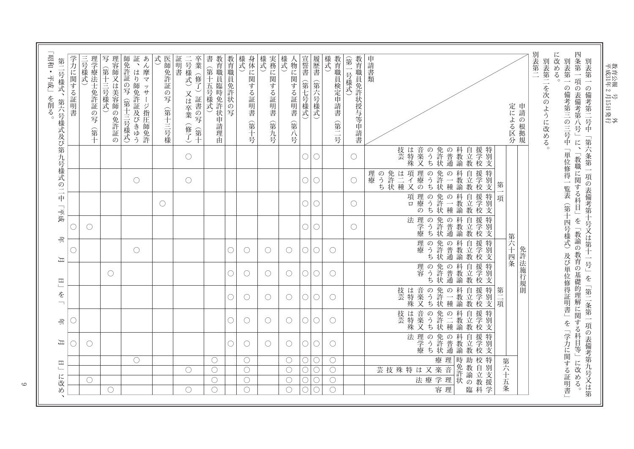| O                 | ⊃                        |                         |                   |                                | ∩                  |                   |                                               |                         | 学力に関する証明書                                                    |
|-------------------|--------------------------|-------------------------|-------------------|--------------------------------|--------------------|-------------------|-----------------------------------------------|-------------------------|--------------------------------------------------------------|
| $\bigcirc$        |                          |                         |                   |                                | $\bigcirc$         |                   |                                               |                         | 三号様式)<br>理学療法士免許証<br>の写<br>(第十                               |
|                   |                          |                         | $\bigcirc$        |                                |                    |                   |                                               |                         | 理容師又は美容師の免許証の<br>写(第十三号様式)                                   |
|                   |                          |                         |                   | $\bigcirc$                     |                    |                   | $\bigcirc$                                    |                         | 証、はり<br>あん摩マッサージ指圧師免許<br>師免許証の写(第十三号様式)<br>師免許証及びきゆう         |
|                   |                          |                         |                   |                                |                    | $\bigcirc$        |                                               |                         | 式<br>医師免許証の写(第十三号様                                           |
|                   |                          |                         |                   |                                |                    |                   | $\bigcirc$                                    | О                       | 卒業(修了)証書の写<br>証明書<br>二号様式)<br>又は卒業<br>(修了)<br>(第十            |
|                   |                          |                         |                   |                                |                    |                   |                                               |                         | 教育職員臨時免許状申請<br>書(第十五号様式)<br>理由                               |
| O                 | ( )                      | ()                      | ∩                 | O                              |                    |                   |                                               |                         | 教育職員免許状の写                                                    |
| $\bigcirc$        | $\bigcirc$               | $\bigcirc$              | $\bigcirc$        | $\mathcal C$                   |                    |                   |                                               |                         | 身体に関する証明書<br>様式<br>(第十号                                      |
| $\bigcirc$        | $\bigcirc$               | $\left(\right)$         | O                 | $\bigcirc$                     |                    |                   |                                               |                         | 様式<br>実務に関する証明書<br>(第九号                                      |
| $\bigcirc$        | $\bigcirc$               | $\bigcirc$              | O                 | $\bigcirc$                     |                    |                   |                                               |                         | 様式<br><物に関する証明書<br>(第八号                                      |
| $\bigcirc$        | $\bigcirc$               | ◯                       | 0                 | О                              | $\bigcirc$         | $\bigcirc$        | $\bigcirc$                                    | $\bigcirc$              | 宣誓書(第七号様式)                                                   |
| $\bigcirc$        | О                        | ∩                       | O                 | O                              | О                  | 0                 | $\bigcirc$                                    | O                       | 履歴書<br>(第六号様式)                                               |
| $\bigcirc$        | $\bigcirc$               | $\bigcirc$              | $\bigcirc$        | $\bigcirc$                     |                    |                   |                                               |                         | 教育職員検定申請書<br>様式<br>(第二号                                      |
|                   |                          |                         |                   |                                | $\bigcirc$         | $\bigcirc$        | $\left(\right)$                               | $\bigcirc$              | 教育職員免許状授与等申請書<br>(第一号様式)                                     |
| 法理学療<br>のうち       | 音楽又<br> は特殊<br>技芸<br>のうち | 技芸<br>音楽又<br>は特殊<br>のうち | 理容<br>のうち         | 理療<br>のうち                      | 法理学療<br>のうち        | 理療の<br>項ロ<br>のうち  | 免許状<br> は二種<br>項イ又<br>理療の<br>理療<br>のうち<br>のうち | 音楽又<br>技芸<br>は特殊<br>のうち | 申請書類                                                         |
| 免許状<br>科教諭<br>の普通 | 免許二種<br> <br>状種<br>科教諭   | 免許状<br>一科教諭<br> の一種     | 免許状<br>科教諭<br>の普通 | 免許状<br>科教諭<br> の普通             | 免許状<br>一科教諭<br>の普通 | 免許状<br>科教諭<br>の一種 | 免許状<br>科教諭<br>の一種                             | 免許状<br>科教諭<br>の普通       |                                                              |
| 自立教<br>援学校        | 援学校<br>自立教               | 援学校<br>自立教              | 援学校<br>自立教        | <b>援学</b><br>梭学校<br>自立教        | 援学校<br>自立教         | 自立教<br> 援学校       | 自立教<br>援学校                                    | 自立教<br>援学校              |                                                              |
| 特別支               | 特別支                      | 特別支<br>第二項              | 特別支               |                                | 特別支                | 一特別支<br>項         | 特別支<br>第                                      | 特別支                     |                                                              |
|                   |                          |                         | 免許法施行規則           | 第六十四条                          |                    |                   |                                               |                         | 定による区分                                                       |
|                   |                          |                         |                   | (第十四号様式)及び単位修得証明書」を「学力に関する証明書」 |                    |                   |                                               |                         | 別表第二<br>に改める。<br>別表第二を次のように改める。<br>別表第一<br>の備考第三の三号中「単位修得一覧表 |

 $\circ$ 

教育公報 号 教育公報 号 n<br>∏¥∬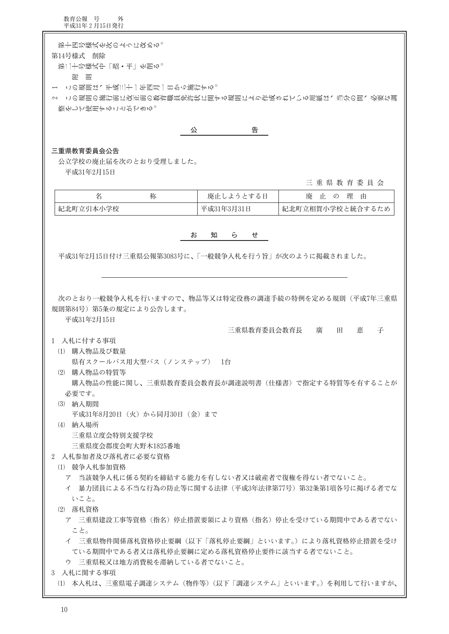教育公報 号 外<br>平成31年2月15日発行

| 第十四号様式を次のように改める。<br>第14号様式 削除<br>第二十号様式中「嵒・书」を削る。<br>を いくりょう しょうしょう おおし しょうしょう おおし しょうしょう おおおお |                          |                  |
|------------------------------------------------------------------------------------------------|--------------------------|------------------|
| この規則は、平成三十一年四月一日から施行する。                                                                        |                          |                  |
| 2 この規則の施行前に改正前の教育職員免許状に関する規則により作成されている用紙は、当分の間、必要な調                                            |                          |                  |
| 整をして使用することができる。                                                                                |                          |                  |
|                                                                                                |                          |                  |
| 公                                                                                              | 告                        |                  |
|                                                                                                |                          |                  |
| 三重県教育委員会公告                                                                                     |                          |                  |
| 公立学校の廃止届を次のとおり受理しました。                                                                          |                          |                  |
| 平成31年2月15日                                                                                     |                          |                  |
|                                                                                                |                          | 三重県教育委員会         |
|                                                                                                |                          |                  |
| 名<br>称                                                                                         | <b>廃止しようとする日</b>         | 廃 止 の 理 由        |
| 紀北町立引本小学校                                                                                      | 平成31年3月31日               | 紀北町立相賀小学校と統合するため |
|                                                                                                |                          |                  |
| お                                                                                              | 知<br>$\overline{b}$<br>せ |                  |
|                                                                                                |                          |                  |
| 平成31年2月15日付け三重県公報第3083号に、「一般競争入札を行う旨」が次のように掲載されました。                                            |                          |                  |
|                                                                                                |                          |                  |
|                                                                                                |                          |                  |
|                                                                                                |                          |                  |
|                                                                                                |                          |                  |
| 次のとおり一般競争入札を行いますので、物品等又は特定役務の調達手続の特例を定める規則(平成7年三重県                                             |                          |                  |
| 規則第84号) 第5条の規定により公告します。                                                                        |                          |                  |
| 平成31年2月15日                                                                                     |                          |                  |
|                                                                                                | 三重県教育委員会教育長              | 庸<br>田<br>恵<br>子 |
| 1 入札に付する事項                                                                                     |                          |                  |
| (1) 購入物品及び数量                                                                                   |                          |                  |
|                                                                                                |                          |                  |
| 県有スクールバス用大型バス(ノンステップ) 1台                                                                       |                          |                  |
| (2) 購入物品の特質等                                                                                   |                          |                  |
| 購入物品の性能に関し、三重県教育委員会教育長が調達説明書(仕様書)で指定する特質等を有することが                                               |                          |                  |
| 必要です。                                                                                          |                          |                  |
| (3) 納入期間                                                                                       |                          |                  |
| 平成31年8月20日(火)から同月30日(金)まで                                                                      |                          |                  |
| (4) 納入場所                                                                                       |                          |                  |
|                                                                                                |                          |                  |
| 三重県立度会特別支援学校                                                                                   |                          |                  |
| 三重県度会郡度会町大野木1825番地                                                                             |                          |                  |
| 2 入札参加者及び落札者に必要な資格                                                                             |                          |                  |
| (1) 競争入札参加資格                                                                                   |                          |                  |
| ア 当該競争入札に係る契約を締結する能力を有しない者又は破産者で復権を得ない者でないこと。                                                  |                          |                  |
| イ 暴力団員による不当な行為の防止等に関する法律(平成3年法律第77号)第32条第1項各号に掲げる者でな                                           |                          |                  |
| いこと。                                                                                           |                          |                  |
|                                                                                                |                          |                  |
| (2) 落札資格                                                                                       |                          |                  |
| ア 三重県建設工事等資格(指名)停止措置要領により資格(指名)停止を受けている期間中である者でない                                              |                          |                  |
| こと。                                                                                            |                          |                  |
| イ 三重県物件関係落札資格停止要綱(以下「落札停止要綱」といいます。)により落札資格停止措置を受け                                              |                          |                  |
| ている期間中である者又は落札停止要綱に定める落札資格停止要件に該当する者でないこと。                                                     |                          |                  |
| ウ 三重県税又は地方消費税を滞納している者でないこと。                                                                    |                          |                  |
| 3 入札に関する事項                                                                                     |                          |                  |
|                                                                                                |                          |                  |
| (1) 本入札は、三重県電子調達システム(物件等)(以下「調達システム」といいます。)を利用して行いますが、                                         |                          |                  |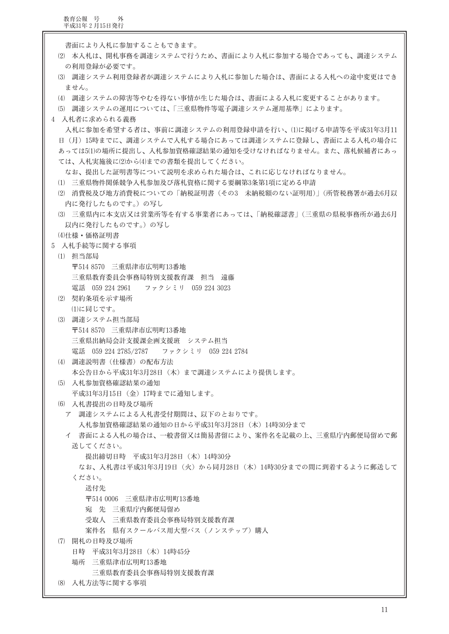書面により入札に参加することもできます。 (2) 本入札は、開札事務を調達システムで行うため、書面により入札に参加する場合であっても、調達システム の利用登録が必要です。 (3) 調達システム利用登録者が調達システムにより入札に参加した場合は、書面による入札への途中変更はでき ません。 (4) 調達システムの障害等やむを得ない事情が生じた場合は、書面による入札に変更することがあります。 (5) 調達システムの運用については、「三重県物件等電子調達システム運用基準」によります。 4 入札者に求められる義務 入札に参加を希望する者は、事前に調達システムの利用登録申請を行い、(1)に掲げる申請等を平成31年3月11 日(月)15時までに、調達システムで入札する場合にあっては調達システムに登録し、書面による入札の場合に あっては5(1)の場所に提出し、入札参加資格確認結果の通知を受けなければなりません。また、落札候補者にあっ ては、入札実施後に(2)から(4)までの書類を提出してください。 なお、提出した証明書等について説明を求められた場合は、これに応じなければなりません。 (1) 三重県物件関係競争入札参加及び落札資格に関する要綱第3条第1項に定める申請 (2) 消費税及び地方消費税についての「納税証明書(その3 未納税額のない証明用)」(所管税務署が過去6月以 内に発行したものです。)の写し (3) 三重県内に本支店又は営業所等を有する事業者にあっては、「納税確認書」(三重県の県税事務所が過去6月 以内に発行したものです。)の写し (4) 仕様·価格証明書 5 入札手続等に関する事項 (1) 担当部局 〒514 8570 三重県津市広明町13番地 三重県教育委員会事務局特別支援教育課 相当 遠藤 ファクシミリ 059 224 3023 電話 059 224 2961 (2) 契約条項を示す場所 (1)に同じです。 (3) 調達システム担当部局 〒514 8570 三重県津市広明町13番地 三重県出納局会計支援課企画支援班 システム担当 電話 059 224 2785/2787 ファクシミリ 059 224 2784 (4) 調達説明書 (仕様書) の配布方法 本公告日から平成31年3月28日 (木) まで調達システムにより提供します。 (5) 入札参加資格確認結果の通知 平成31年3月15日 (金) 17時までに通知します。 (6) 入札書提出の日時及び場所 ア 調達システムによる入札書受付期間は、以下のとおりです。 入札参加資格確認結果の通知の日から平成31年3月28日 (木) 14時30分まで イ 書面による入札の場合は、一般書留又は簡易書留により、案件名を記載の上、三重県庁内郵便局留めで郵 送してください。 提出締切日時 平成31年3月28日 (木) 14時30分 なお、入札書は平成31年3月19日(火)から同月28日(木)14時30分までの間に到着するように郵送して ください。 送付先 〒514 0006 三重県津市広明町13番地 宛 先 三重県庁内郵便局留め 受取人 三重県教育委員会事務局特別支援教育課 案件名 県有スクールバス用大型バス (ノンステップ) 購入 (7) 開札の日時及び場所 日時 平成31年3月28日 (木) 14時45分 場所 三重県津市広明町13番地 三重県教育委員会事務局特別支援教育課 (8) 入札方法等に関する事項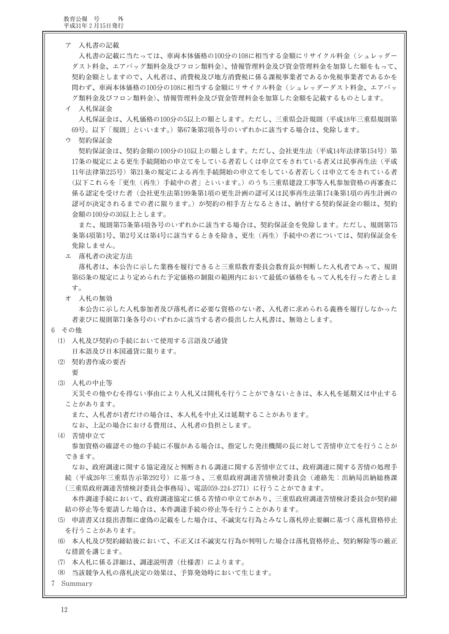ア 入札書の記載

入札書の記載に当たっては、車両本体価格の100分の108に相当する金額にリサイクル料金(シュレッダー ダスト料金、エアバッグ類料金及びフロン類料金)、情報管理料金及び資金管理料金を加算した額をもって、 契約金額としますので、入札者は、消費税及び地方消費税に係る課税事業者であるか免税事業者であるかを 問わず、車両本体価格の100分の108に相当する金額にリサイクル料金(シュレッダーダスト料金、エアバッ グ類料金及びフロン類料金)、情報管理料金及び資金管理料金を加算した金額を記載するものとします。

## イ 入札保証金

入札保証金は、入札価格の100分の5以上の額とします。ただし、三重県会計規則(平成18年三重県規則第 69号。以下「規則」といいます。)第67条第2項各号のいずれかに該当する場合は、免除します。

ウ 契約保証金

契約保証金は、契約金額の100分の10以上の額とします。ただし、会社更生法(平成14年法律第154号)第 17条の規定による更生手続開始の申立てをしている者若しくは申立てをされている者又は民事再生法(平成 11年法律第225号)第21条の規定による再生手続開始の申立てをしている者若しくは申立てをされている者 (以下これらを「更生(再生)手続中の者」といいます。)のうち三重県建設工事等入札参加資格の再審査に 係る認定を受けた者(会社更生法第199条第1項の更生計画の認可又は民事再生法第174条第1項の再生計画の 認可が決定されるまでの者に限ります。)が契約の相手方となるときは、納付する契約保証金の額は、契約 金額の100分の30以上とします。

また、規則第75条第4項各号のいずれかに該当する場合は、契約保証金を免除します。ただし、規則第75 条第4項第1号、第2号又は第4号に該当するときを除き、更生(再生)手続中の者については、契約保証金を 免除しません。

エ 落札者の決定方法

落札者は、本公告に示した業務を履行できると三重県教育委員会教育長が判断した入札者であって、規則 第65条の規定により定められた予定価格の制限の範囲内において最低の価格をもって入札を行った者としま す。

オ 入札の無効

本公告に示した入札参加者及び落札者に必要な資格のない者、入札者に求められる義務を履行しなかった 者並びに規則第71条各号のいずれかに該当する者の提出した入札書は、無効とします。

6 その他

- (1) 入札及び契約の手続において使用する言語及び通貨
	- 日本語及び日本国通貨に限ります。
- (2) 契約書作成の要否
	- 要
- (3) 入札の中止等

天災その他やむを得ない事由により入札又は開札を行うことができないときは、本入札を延期又は中止する ことがあります。

また、入札者が1者だけの場合は、本入札を中止又は延期することがあります。

なお、上記の場合における費用は、入札者の負担とします。

- (4) 苦情申立て 参加資格の確認その他の手続に不服がある場合は、指定した発注機関の長に対して苦情申立てを行うことが
	- できます。

なお、政府調達に関する協定違反と判断される調達に関する苦情申立ては、政府調達に関する苦情の処理手 続 (平成26年三重県告示第292号) に基づき、三重県政府調達苦情検討委員会 (連絡先:出納局出納総務課 (三重県政府調達苦情検討委員会事務局)、電話059-224-2771)に行うことができます。

本件調達手続において、政府調達協定に係る苦情の申立てがあり、三重県政府調達苦情検討委員会が契約締 結の停止等を要請した場合は、本件調達手続の停止等を行うことがあります。

- (5) 申請書又は提出書類に虚偽の記載をした場合は、不誠実な行為とみなし落札停止要綱に基づく落札資格停止 を行うことがあります。
- (6) 本入札及び契約締結後において、不正又は不誠実な行為が判明した場合は落札資格停止、契約解除等の厳正 な措置を講じます。
- (7) 本入札に係る詳細は、調達説明書(仕様書)によります。
- (8) 当該競争入札の落札決定の効果は、予算発効時において生じます。
- 7 Summary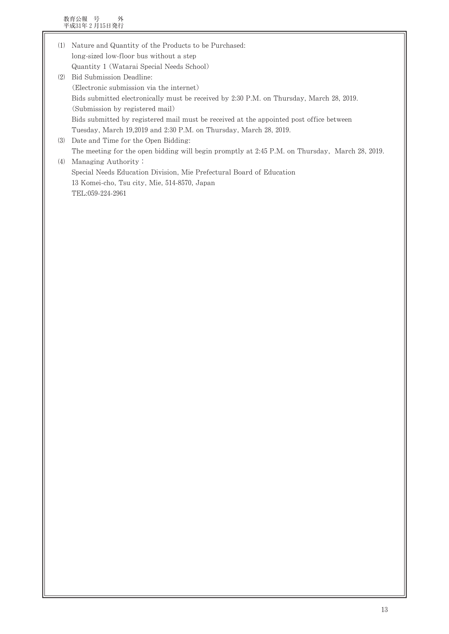教育公報 号 外<br>平成31年2月15日発行

| (1) | Nature and Quantity of the Products to be Purchased:                                           |
|-----|------------------------------------------------------------------------------------------------|
|     | long-sized low-floor bus without a step                                                        |
|     | Quantity 1 (Watarai Special Needs School)                                                      |
| (2) | Bid Submission Deadline:                                                                       |
|     | (Electronic submission via the internet)                                                       |
|     | Bids submitted electronically must be received by 2:30 P.M. on Thursday, March 28, 2019.       |
|     | (Submission by registered mail)                                                                |
|     | Bids submitted by registered mail must be received at the appointed post office between        |
|     | Tuesday, March 19,2019 and 2:30 P.M. on Thursday, March 28, 2019.                              |
| (3) | Date and Time for the Open Bidding:                                                            |
|     | The meeting for the open bidding will begin promptly at 2:45 P.M. on Thursday, March 28, 2019. |
| (4) | Managing Authority:                                                                            |
|     | Special Needs Education Division, Mie Prefectural Board of Education                           |
|     | 13 Komei-cho, Tsu city, Mie, 514-8570, Japan                                                   |
|     | TEL:059-224-2961                                                                               |